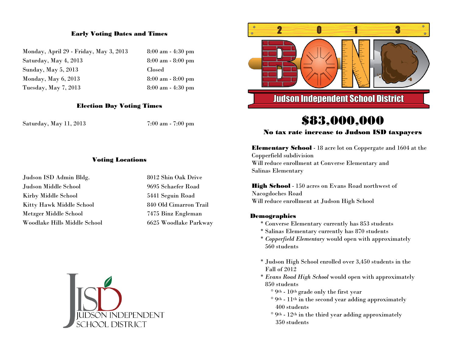## Early Voting Dates and Times

| Monday, April 29 - Friday, May 3, 2013 | 8:00a         |
|----------------------------------------|---------------|
| Saturday, May 4, 2013                  | 8:00a         |
| Sunday, May 5, 2013                    | <b>Closed</b> |
| Monday, May $6, 2013$                  | 8:00a         |
| Tuesday, May 7, 2013                   | 8:00a         |

8:00 am - 4:30 pm  $8:00$  am -  $8:00$  pm 8:00 am - 8:00 pm 8:00 am - 4:30 pm

### Election Day Voting Times

Saturday, May 11, 2013 7:00 am - 7:00 pm

#### Voting Locations

| 8012 Shin Oak Drive<br>Judson ISD Admin Bldg.         |  |
|-------------------------------------------------------|--|
| Judson Middle School<br>9695 Schaefer Road            |  |
| 5441 Seguin Road<br>Kirby Middle School               |  |
| 840 Old Cimarron Trail<br>Kitty Hawk Middle School    |  |
| 7475 Binz Engleman<br>Metzger Middle School           |  |
| Woodlake Hills Middle School<br>6625 Woodlake Parkway |  |







# \$83,000,000

## No tax rate increase to Judson ISD taxpayers

Elementary School - 18 acre lot on Coppergate and 1604 at the Copperfield subdivision Will reduce enrollment at Converse Elementary and Salinas Elementary

**High School** - 150 acres on Evans Road northwest of Nacogdoches Road Will reduce enrollment at Judson High School

### Demographics

- \* Converse Elementary currently has 853 students
- \* Salinas Elementary currently has 870 students
- \* *Copperfield Elementary* would open with approximately 560 students
- \* Judson High School enrolled over 3,450 students in the Fall of 2012
- \* *Evans Road High School* would open with approximately 850 students
	- ° 9th 10th grade only the first year
	- ° 9th 11th in the second year adding approximately 400 students
	- $\degree$  9<sup>th</sup> 12<sup>th</sup> in the third year adding approximately 350 students